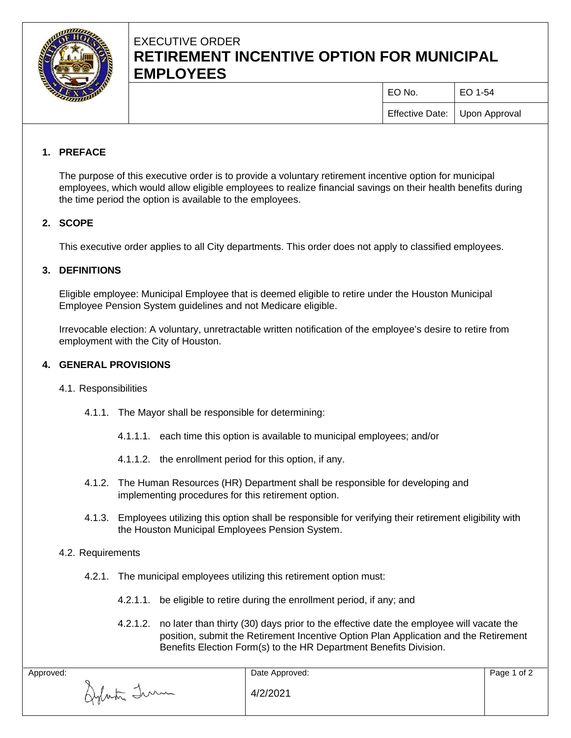

# EXECUTIVE ORDER **RETIREMENT INCENTIVE OPTION FOR MUNICIPAL EMPLOYEES**

| EO No.                          | EO 1-54 |
|---------------------------------|---------|
| Effective Date:   Upon Approval |         |

## **1. PREFACE**

The purpose of this executive order is to provide a voluntary retirement incentive option for municipal employees, which would allow eligible employees to realize financial savings on their health benefits during the time period the option is available to the employees.

### **2. SCOPE**

This executive order applies to all City departments. This order does not apply to classified employees.

#### **3. DEFINITIONS**

Eligible employee: Municipal Employee that is deemed eligible to retire under the Houston Municipal Employee Pension System guidelines and not Medicare eligible.

Irrevocable election: A voluntary, unretractable written notification of the employee's desire to retire from employment with the City of Houston.

#### **4. GENERAL PROVISIONS**

- 4.1. Responsibilities
	- 4.1.1. The Mayor shall be responsible for determining:
		- 4.1.1.1. each time this option is available to municipal employees; and/or
		- 4.1.1.2. the enrollment period for this option, if any.
	- 4.1.2. The Human Resources (HR) Department shall be responsible for developing and implementing procedures for this retirement option.
	- 4.1.3. Employees utilizing this option shall be responsible for verifying their retirement eligibility with the Houston Municipal Employees Pension System.
- 4.2. Requirements
	- 4.2.1. The municipal employees utilizing this retirement option must:
		- 4.2.1.1. be eligible to retire during the enrollment period, if any; and
		- 4.2.1.2. no later than thirty (30) days prior to the effective date the employee will vacate the position, submit the Retirement Incentive Option Plan Application and the Retirement Benefits Election Form(s) to the HR Department Benefits Division.

| Approved:   | Date Approved: | Page 1 of 2 |
|-------------|----------------|-------------|
| Aylasta Imm | 4/2/2021       |             |